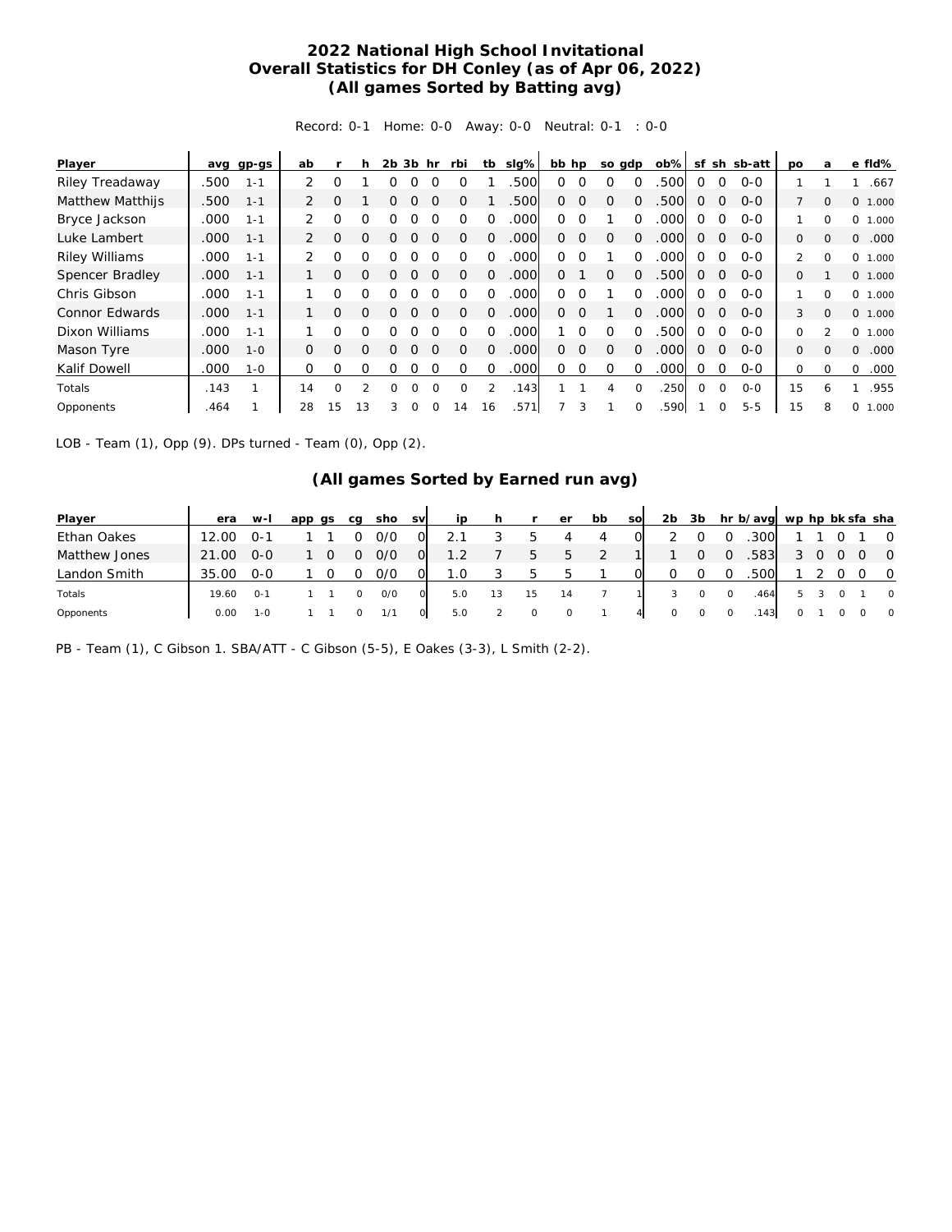## **2022 National High School Invitational Overall Statistics for DH Conley (as of Apr 06, 2022) (All games Sorted by Batting avg)**

Record: 0-1 Home: 0-0 Away: 0-0 Neutral: 0-1 : 0-0

| Player                |      | avg gp-gs | ab             |          | h             | 2b | 3b hr    |          | rbi      | tb            | slg% | bb hp    |          | so gdp   |          | $ob\%$ | sf       |             | sh sb-att | <b>DO</b>    | a              | e fld%            |
|-----------------------|------|-----------|----------------|----------|---------------|----|----------|----------|----------|---------------|------|----------|----------|----------|----------|--------|----------|-------------|-----------|--------------|----------------|-------------------|
| Riley Treadaway       | .500 | $1 - 1$   | $\mathcal{P}$  | O        |               |    |          |          |          |               | .500 | 0        | $\Omega$ |          | 0        | .500   | $\Omega$ | $\Omega$    | $O - O$   |              |                | .667              |
| Matthew Matthijs      | .500 | $1 - 1$   | 2              | $\Omega$ |               | Ω  | $\Omega$ | $\Omega$ | Ω        |               | .500 | 0        | 0        | $\Omega$ | $\Omega$ | .500   | $\Omega$ | 0           | $O - O$   |              | $\Omega$       | $\Omega$<br>1.000 |
| Bryce Jackson         | .000 | $1 - 1$   |                | O        | Ω             |    |          |          |          | $\Omega$      | .000 | 0        | $\Omega$ |          | 0        | .000   | $\Omega$ | 0           | $O-O$     |              | 0              | $\circ$<br>1.000  |
| Luke Lambert          | .000 | $1 - 1$   | 2              | $\Omega$ | $\Omega$      | Ω  | ∩        |          | Ω        | $\Omega$      | .000 | 0        | $\Omega$ | $\Omega$ | $\Omega$ | 000    | $\Omega$ | $\Omega$    | $O - O$   | $\Omega$     | $\Omega$       | .000<br>$\Omega$  |
| <b>Riley Williams</b> | .000 | $1 - 1$   |                | O        | O             | ∩  | O        |          | Ω        | Ω             | .000 | $\Omega$ | $\Omega$ |          | 0        | .000   | $\Omega$ | $\Omega$    | $O - O$   | 2            | $\Omega$       | $\Omega$<br>1.000 |
| Spencer Bradley       | .000 | $1 - 1$   | 1              | 0        | $\Omega$      | O  | ∩        |          | 0        | $\Omega$      | .000 | 0        |          | O        | $\Omega$ | .500   | $\Omega$ | $\Omega$    | $0 - 0$   | 0            |                | 0 1.000           |
| Chris Gibson          | .000 | $1 - 1$   |                | O        | $\Omega$      | ∩  | ∩        |          | ∩        | $\Omega$      | .000 | $\Omega$ | $\Omega$ |          | 0        | .000   | $\Omega$ | $\Omega$    | $O - O$   |              | $\Omega$       | $\Omega$<br>1.000 |
| Connor Edwards        | .000 | $1 - 1$   |                | $\Omega$ | $\Omega$      | Ω  |          |          |          | $\Omega$      | .000 | Ω        | $\Omega$ |          | $\Omega$ | .000   | $\Omega$ | $\Omega$    | $O-O$     | 3            | $\Omega$       | $\Omega$<br>1.000 |
| Dixon Williams        | .000 | $1 - 1$   | 1              | O        | $\Omega$      | ∩  |          |          |          | $\Omega$      | .000 |          | $\Omega$ |          | 0        | .500   | $\Omega$ | $\Omega$    | $O - O$   | $\Omega$     | $\mathfrak{D}$ | 0<br>1.000        |
| Mason Tyre            | .000 | $1 - 0$   | $\overline{0}$ | $\Omega$ | $\Omega$      | O  | $\Omega$ | $\Omega$ | Ω        | $\Omega$      | .000 | $\Omega$ | $\Omega$ | $\Omega$ | $\Omega$ | .000   | $\Omega$ | 0           | $O-O$     | $\mathbf{0}$ | $\Omega$       | .000<br>$\Omega$  |
| Kalif Dowell          | .000 | $1 - 0$   | $\Omega$       | O        | $\Omega$      | ∩  |          |          | 0        | $\Omega$      | .000 | 0        | 0        | Ω        | 0        | 000    | $\Omega$ | $\Omega$    | $0 - 0$   | 0            | 0              | .000<br>0         |
| Totals                | .143 | 1         | 14             | 0        | $\mathcal{P}$ | O  | O        | $\Omega$ | $\Omega$ | $\mathcal{P}$ | .143 |          | 1        | 4        | $\Omega$ | .250   | $\Omega$ | $\Omega$    | $0 - 0$   | 15           | 6              | .955              |
| Opponents             | .464 |           | 28             | 15       | 13            | 3  | $\Omega$ |          | 14       | 16            | .571 |          | 3        |          | $\Omega$ | .590   |          | $\mathbf 0$ | $5 - 5$   | 15           | 8              | 0<br>000.         |

LOB - Team (1), Opp (9). DPs turned - Team (0), Opp (2).

## **(All games Sorted by Earned run avg)**

| Player        | era   | $W-I$   | app<br>as | ca | sho | <b>SV</b> | ip  |         | er      | bb | <b>SO</b> | 2b      | 3b |              | hr b/avg wp hp bk sfa sha |   |   |              |                |
|---------------|-------|---------|-----------|----|-----|-----------|-----|---------|---------|----|-----------|---------|----|--------------|---------------------------|---|---|--------------|----------------|
| Ethan Oakes   | 12.00 | 0-1     |           |    | 0/0 | 0         |     | 5       | 4       | 4  | $\Omega$  |         |    | $\Omega$     | .300                      |   |   |              | $\overline{O}$ |
| Matthew Jones | 21.00 | $O-O$   |           | O  | 0/0 | 0         | 1.2 | 5       | $\circ$ |    |           |         | O  | <sup>O</sup> | .583                      |   | 0 | <sup>O</sup> | $\overline{0}$ |
| Landon Smith  | 35.00 | $O-O$   |           |    | 0/0 |           | 1.0 | 5.      | .h      |    |           |         |    |              | .500                      |   |   |              | $\circ$        |
| Totals        | 19.60 | O-1     |           |    | O/O |           | 5.0 | 15      | 14      |    |           |         |    |              | .464                      |   |   |              | $\overline{0}$ |
| Opponents     | 0.00  | $1 - 0$ |           |    | 1/1 | $\circ$   | 5.0 | $\circ$ |         |    | 41        | $\circ$ |    |              | .143                      | 0 |   |              | $\overline{0}$ |

PB - Team (1), C Gibson 1. SBA/ATT - C Gibson (5-5), E Oakes (3-3), L Smith (2-2).